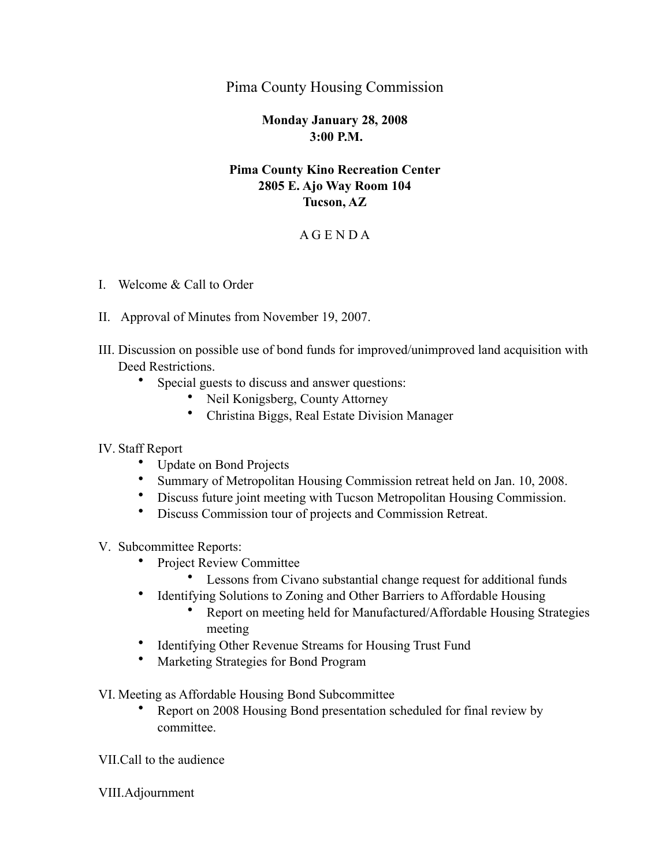# Pima County Housing Commission

#### **Monday January 28, 2008 3:00 P.M.**

# **Pima County Kino Recreation Center 2805 E. Ajo Way Room 104 Tucson, AZ**

### A G E N D A

- I. Welcome & Call to Order
- II. Approval of Minutes from November 19, 2007.
- III. Discussion on possible use of bond funds for improved/unimproved land acquisition with Deed Restrictions.
	- Special guests to discuss and answer questions:
		- Neil Konigsberg, County Attorney
		- Christina Biggs, Real Estate Division Manager

#### IV. Staff Report

- Update on Bond Projects
- Summary of Metropolitan Housing Commission retreat held on Jan. 10, 2008.
- Discuss future joint meeting with Tucson Metropolitan Housing Commission.
- Discuss Commission tour of projects and Commission Retreat.
- V. Subcommittee Reports:
	- Project Review Committee
		- Lessons from Civano substantial change request for additional funds
	- Identifying Solutions to Zoning and Other Barriers to Affordable Housing
		- Report on meeting held for Manufactured/Affordable Housing Strategies meeting
	- Identifying Other Revenue Streams for Housing Trust Fund
	- Marketing Strategies for Bond Program

VI. Meeting as Affordable Housing Bond Subcommittee

• Report on 2008 Housing Bond presentation scheduled for final review by committee.

VII.Call to the audience

VIII.Adjournment